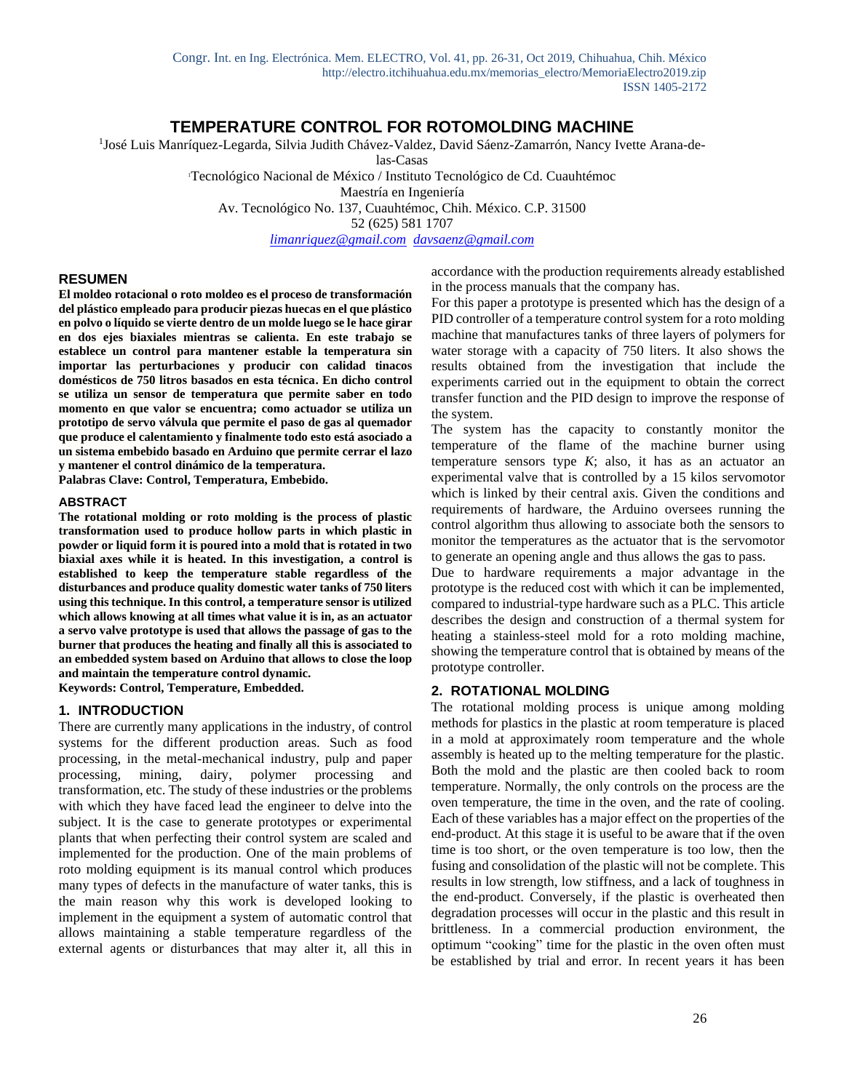# **TEMPERATURE CONTROL FOR ROTOMOLDING MACHINE**

<sup>1</sup>José Luis Manríquez-Legarda, Silvia Judith Chávez-Valdez, David Sáenz-Zamarrón, Nancy Ivette Arana-de-

las-Casas

<sup>1</sup>Tecnológico Nacional de México / Instituto Tecnológico de Cd. Cuauhtémoc Maestría en Ingeniería Av. Tecnológico No. 137, Cuauhtémoc, Chih. México. C.P. 31500 52 (625) 581 1707

*[limanriquez@gmail.com](mailto:limanriquez@gmail.com) davsaenz@gmail.com*

#### **RESUMEN**

**El moldeo rotacional o roto moldeo es el proceso de transformación del plástico empleado para producir piezas huecas en el que plástico en polvo o líquido se vierte dentro de un molde luego se le hace girar en dos ejes biaxiales mientras se calienta. En este trabajo se establece un control para mantener estable la temperatura sin importar las perturbaciones y producir con calidad tinacos domésticos de 750 litros basados en esta técnica. En dicho control se utiliza un sensor de temperatura que permite saber en todo momento en que valor se encuentra; como actuador se utiliza un prototipo de servo válvula que permite el paso de gas al quemador que produce el calentamiento y finalmente todo esto está asociado a un sistema embebido basado en Arduino que permite cerrar el lazo y mantener el control dinámico de la temperatura.**

**Palabras Clave: Control, Temperatura, Embebido.**

#### **ABSTRACT**

**The rotational molding or roto molding is the process of plastic transformation used to produce hollow parts in which plastic in powder or liquid form it is poured into a mold that is rotated in two biaxial axes while it is heated. In this investigation, a control is established to keep the temperature stable regardless of the disturbances and produce quality domestic water tanks of 750 liters using this technique. In this control, a temperature sensor is utilized which allows knowing at all times what value it is in, as an actuator a servo valve prototype is used that allows the passage of gas to the burner that produces the heating and finally all this is associated to an embedded system based on Arduino that allows to close the loop and maintain the temperature control dynamic.**

**Keywords: Control, Temperature, Embedded.**

## **1. INTRODUCTION**

There are currently many applications in the industry, of control systems for the different production areas. Such as food processing, in the metal-mechanical industry, pulp and paper processing, mining, dairy, polymer processing and transformation, etc. The study of these industries or the problems with which they have faced lead the engineer to delve into the subject. It is the case to generate prototypes or experimental plants that when perfecting their control system are scaled and implemented for the production. One of the main problems of roto molding equipment is its manual control which produces many types of defects in the manufacture of water tanks, this is the main reason why this work is developed looking to implement in the equipment a system of automatic control that allows maintaining a stable temperature regardless of the external agents or disturbances that may alter it, all this in accordance with the production requirements already established in the process manuals that the company has.

For this paper a prototype is presented which has the design of a PID controller of a temperature control system for a roto molding machine that manufactures tanks of three layers of polymers for water storage with a capacity of 750 liters. It also shows the results obtained from the investigation that include the experiments carried out in the equipment to obtain the correct transfer function and the PID design to improve the response of the system.

The system has the capacity to constantly monitor the temperature of the flame of the machine burner using temperature sensors type *K*; also, it has as an actuator an experimental valve that is controlled by a 15 kilos servomotor which is linked by their central axis. Given the conditions and requirements of hardware, the Arduino oversees running the control algorithm thus allowing to associate both the sensors to monitor the temperatures as the actuator that is the servomotor to generate an opening angle and thus allows the gas to pass.

Due to hardware requirements a major advantage in the prototype is the reduced cost with which it can be implemented, compared to industrial-type hardware such as a PLC. This article describes the design and construction of a thermal system for heating a stainless-steel mold for a roto molding machine, showing the temperature control that is obtained by means of the prototype controller.

## **2. ROTATIONAL MOLDING**

The rotational molding process is unique among molding methods for plastics in the plastic at room temperature is placed in a mold at approximately room temperature and the whole assembly is heated up to the melting temperature for the plastic. Both the mold and the plastic are then cooled back to room temperature. Normally, the only controls on the process are the oven temperature, the time in the oven, and the rate of cooling. Each of these variables has a major effect on the properties of the end-product. At this stage it is useful to be aware that if the oven time is too short, or the oven temperature is too low, then the fusing and consolidation of the plastic will not be complete. This results in low strength, low stiffness, and a lack of toughness in the end-product. Conversely, if the plastic is overheated then degradation processes will occur in the plastic and this result in brittleness. In a commercial production environment, the optimum "cooking" time for the plastic in the oven often must be established by trial and error. In recent years it has been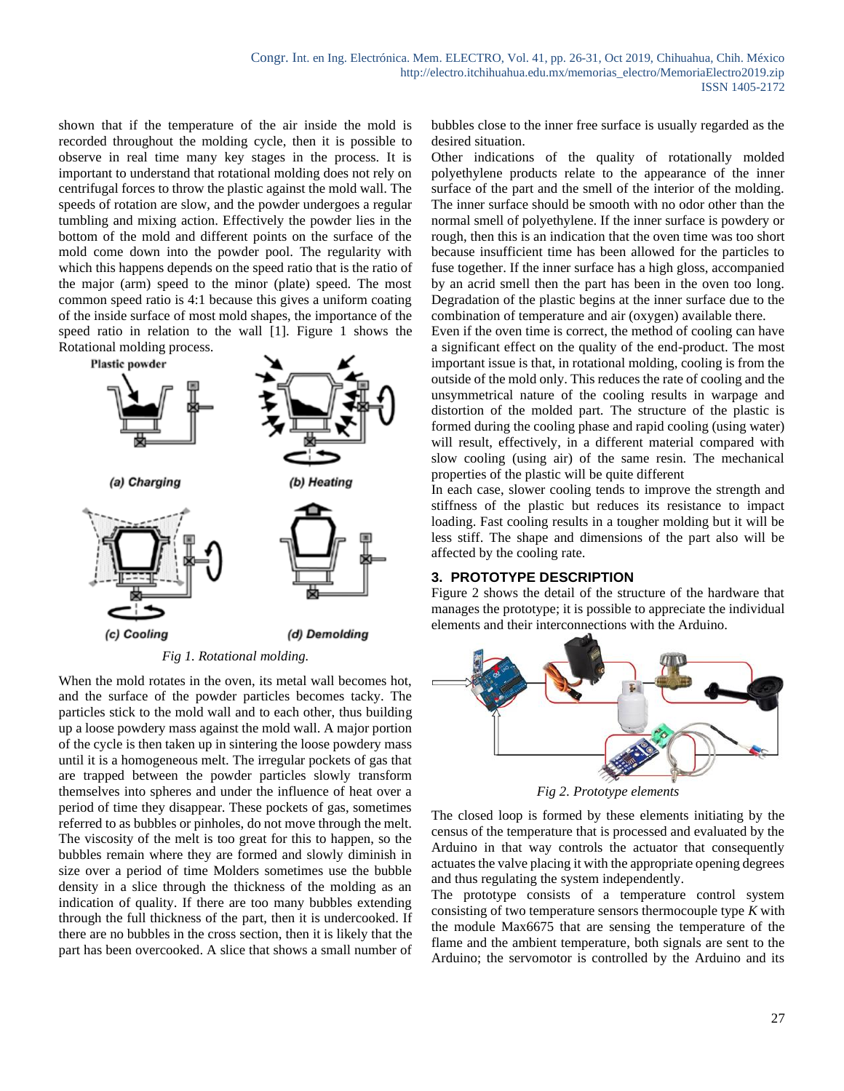shown that if the temperature of the air inside the mold is recorded throughout the molding cycle, then it is possible to observe in real time many key stages in the process. It is important to understand that rotational molding does not rely on centrifugal forces to throw the plastic against the mold wall. The speeds of rotation are slow, and the powder undergoes a regular tumbling and mixing action. Effectively the powder lies in the bottom of the mold and different points on the surface of the mold come down into the powder pool. The regularity with which this happens depends on the speed ratio that is the ratio of the major (arm) speed to the minor (plate) speed. The most common speed ratio is 4:1 because this gives a uniform coating of the inside surface of most mold shapes, the importance of the speed ratio in relation to the wall [1]. Figure 1 shows the Rotational molding process.



#### *Fig 1. Rotational molding.*

When the mold rotates in the oven, its metal wall becomes hot, and the surface of the powder particles becomes tacky. The particles stick to the mold wall and to each other, thus building up a loose powdery mass against the mold wall. A major portion of the cycle is then taken up in sintering the loose powdery mass until it is a homogeneous melt. The irregular pockets of gas that are trapped between the powder particles slowly transform themselves into spheres and under the influence of heat over a period of time they disappear. These pockets of gas, sometimes referred to as bubbles or pinholes, do not move through the melt. The viscosity of the melt is too great for this to happen, so the bubbles remain where they are formed and slowly diminish in size over a period of time Molders sometimes use the bubble density in a slice through the thickness of the molding as an indication of quality. If there are too many bubbles extending through the full thickness of the part, then it is undercooked. If there are no bubbles in the cross section, then it is likely that the part has been overcooked. A slice that shows a small number of

bubbles close to the inner free surface is usually regarded as the desired situation.

Other indications of the quality of rotationally molded polyethylene products relate to the appearance of the inner surface of the part and the smell of the interior of the molding. The inner surface should be smooth with no odor other than the normal smell of polyethylene. If the inner surface is powdery or rough, then this is an indication that the oven time was too short because insufficient time has been allowed for the particles to fuse together. If the inner surface has a high gloss, accompanied by an acrid smell then the part has been in the oven too long. Degradation of the plastic begins at the inner surface due to the combination of temperature and air (oxygen) available there.

Even if the oven time is correct, the method of cooling can have a significant effect on the quality of the end-product. The most important issue is that, in rotational molding, cooling is from the outside of the mold only. This reduces the rate of cooling and the unsymmetrical nature of the cooling results in warpage and distortion of the molded part. The structure of the plastic is formed during the cooling phase and rapid cooling (using water) will result, effectively, in a different material compared with slow cooling (using air) of the same resin. The mechanical properties of the plastic will be quite different

In each case, slower cooling tends to improve the strength and stiffness of the plastic but reduces its resistance to impact loading. Fast cooling results in a tougher molding but it will be less stiff. The shape and dimensions of the part also will be affected by the cooling rate.

#### **3. PROTOTYPE DESCRIPTION**

Figure 2 shows the detail of the structure of the hardware that manages the prototype; it is possible to appreciate the individual elements and their interconnections with the Arduino.



*Fig 2. Prototype elements*

The closed loop is formed by these elements initiating by the census of the temperature that is processed and evaluated by the Arduino in that way controls the actuator that consequently actuates the valve placing it with the appropriate opening degrees and thus regulating the system independently.

The prototype consists of a temperature control system consisting of two temperature sensors thermocouple type *K* with the module Max6675 that are sensing the temperature of the flame and the ambient temperature, both signals are sent to the Arduino; the servomotor is controlled by the Arduino and its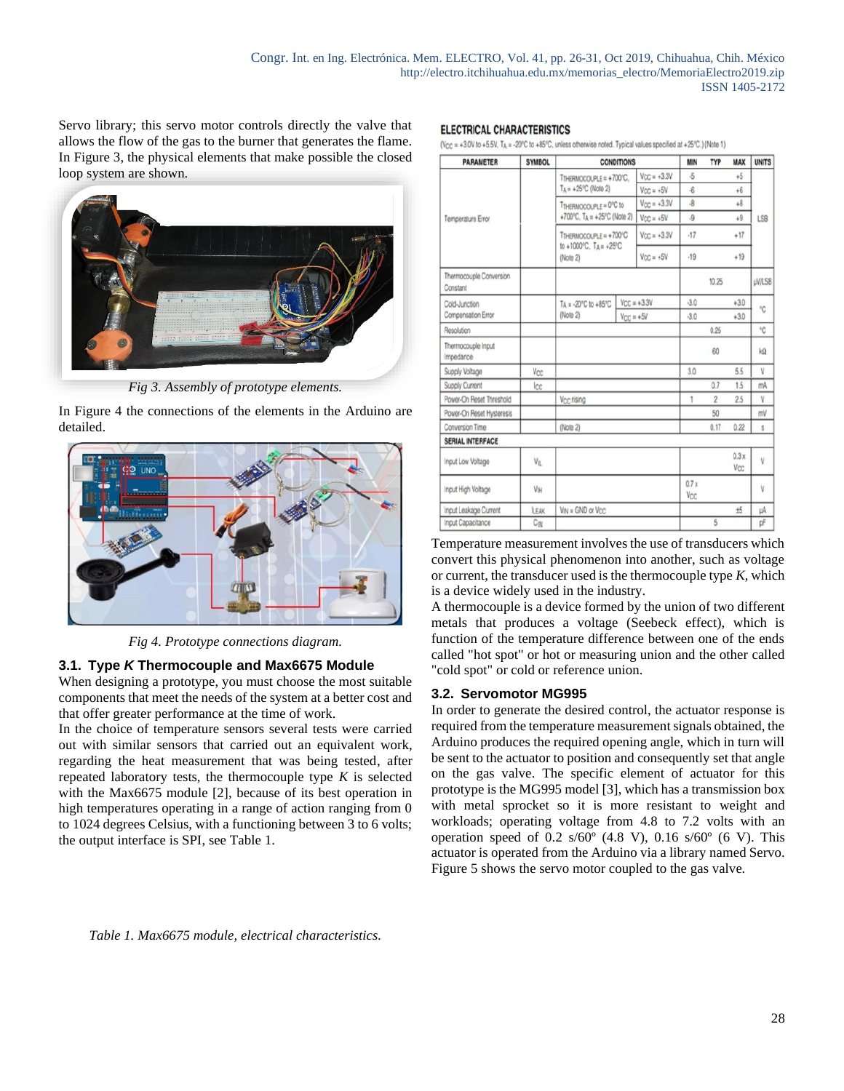Servo library; this servo motor controls directly the valve that allows the flow of the gas to the burner that generates the flame. In Figure 3, the physical elements that make possible the closed loop system are shown.



*Fig 3. Assembly of prototype elements.*

In Figure 4 the connections of the elements in the Arduino are detailed.



*Fig 4. Prototype connections diagram.* 

# **3.1. Type** *K* **Thermocouple and Max6675 Module**

When designing a prototype, you must choose the most suitable components that meet the needs of the system at a better cost and that offer greater performance at the time of work.

In the choice of temperature sensors several tests were carried out with similar sensors that carried out an equivalent work, regarding the heat measurement that was being tested, after repeated laboratory tests, the thermocouple type  $K$  is selected with the Max6675 module [2], because of its best operation in high temperatures operating in a range of action ranging from 0 to 1024 degrees Celsius, with a functioning between 3 to 6 volts; the output interface is SPI, see Table 1.

#### **ELECTRICAL CHARACTERISTICS**

(Vcc = +3.0V to +5.5V, TA = -20°C to +85°C, unless otherwise noted. Typical values specified at +25°C.) (Note 1)

| <b>PARAMETER</b>                    | <b>SYMBOL</b>   | <b>CONDITIONS</b>                                            |                |                         | <b>MIN</b>  | <b>TYP</b>     | <b>MAX</b>  | <b>UNITS</b>  |  |
|-------------------------------------|-----------------|--------------------------------------------------------------|----------------|-------------------------|-------------|----------------|-------------|---------------|--|
| Temperature Error                   |                 | TIHERMOCOUPLE = +700°C.                                      |                | $VCC = +3.3V$           |             |                | $+5$        |               |  |
|                                     |                 | TA = +25°C (Note 2)                                          |                | $VCC = +5V$             | $\cdot$ 6   |                | $+6$        |               |  |
|                                     |                 | THERMOCOUPLE = 0°C to                                        |                | $V_{\text{CC}} = +3.3V$ | $\hat{8}$   |                | $+8$        |               |  |
|                                     |                 | +700°C, TA = +25°C (Note 2)                                  |                | $VCC = +5V$             | .9          |                | $+9$        | LSB           |  |
|                                     |                 | TTHERMOCOUPLE = +700°C<br>to +1000°C, TA = +25°C<br>(Note 2) |                | $V_{CC} = +3.3V$        | .17         |                | $+17$       |               |  |
|                                     |                 |                                                              |                | $V_{CC} = +5V$          | .19         |                | $+19$       |               |  |
| Thermocouple Conversion<br>Constant |                 |                                                              |                |                         |             | 10.25          |             | <b>UV/LSB</b> |  |
| Cold-Junction                       |                 | TA = - 20°C to +85°C                                         |                | $Vcc = +3.3V$           | 30          |                | $+3.0$      | ۹C            |  |
| Compensation Error                  |                 | (Note 2)                                                     | $V_{CC} = +5V$ |                         | 30          |                | $+30$       |               |  |
| Resolution                          |                 |                                                              |                |                         |             | 0.25           |             | ۹C            |  |
| Thermocouple Input<br>Impedance     |                 |                                                              |                |                         |             | 60             |             | kΩ            |  |
| Supply Voltage                      | Vcc             |                                                              |                |                         | 3.0         |                | 5.5         | V.            |  |
| Supply Current                      | Icc             |                                                              |                |                         |             | 0.7            | 1.5         | mA            |  |
| Power-On Reset Threshold            |                 | Vcc rising                                                   |                |                         | 1           | $\overline{2}$ | 25          | V.            |  |
| Power-On Reset Hysteresis           |                 |                                                              |                |                         |             | 50             |             | mV            |  |
| Conversion Time                     |                 | (Note 2)                                                     |                |                         |             | 0.17           | 0.22        | Ś.            |  |
| <b>SERIAL INTERFACE</b>             |                 |                                                              |                |                         |             |                |             |               |  |
| Input Low Voltage                   | V <sub>IL</sub> |                                                              |                |                         |             |                | 0.3x<br>Vcc | V.            |  |
| Input High Voltage                  | Vы              |                                                              |                |                         | 0.7x<br>Vcc |                |             | V             |  |
| Input Leakage Current               | <b>ILEAK</b>    | Viv = GND or Vcc                                             |                |                         |             |                | #5          | цA            |  |
| Input Capacitance                   | $C_{N}$         |                                                              |                |                         |             | 5              |             | pF            |  |

Temperature measurement involves the use of transducers which convert this physical phenomenon into another, such as voltage or current, the transducer used is the thermocouple type *K*, which is a device widely used in the industry.

A thermocouple is a device formed by the union of two different metals that produces a voltage (Seebeck effect), which is function of the temperature difference between one of the ends called "hot spot" or hot or measuring union and the other called "cold spot" or cold or reference union.

# **3.2. Servomotor MG995**

In order to generate the desired control, the actuator response is required from the temperature measurement signals obtained, the Arduino produces the required opening angle, which in turn will be sent to the actuator to position and consequently set that angle on the gas valve. The specific element of actuator for this prototype is the MG995 model [3], which has a transmission box with metal sprocket so it is more resistant to weight and workloads; operating voltage from 4.8 to 7.2 volts with an operation speed of 0.2 s/60º (4.8 V), 0.16 s/60º (6 V). This actuator is operated from the Arduino via a library named Servo. Figure 5 shows the servo motor coupled to the gas valve.

*Table 1. Max6675 module, electrical characteristics.*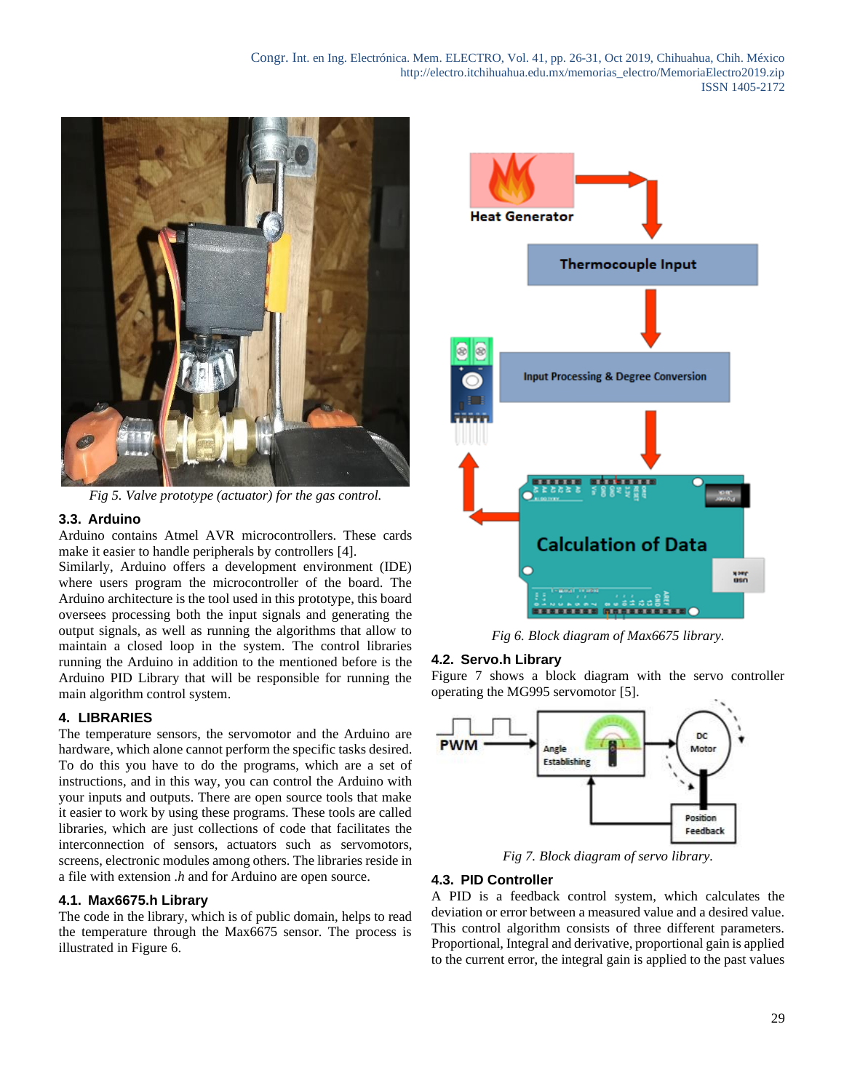![](_page_3_Picture_1.jpeg)

*Fig 5. Valve prototype (actuator) for the gas control.*

## **3.3. Arduino**

Arduino contains Atmel AVR microcontrollers. These cards make it easier to handle peripherals by controllers [4].

Similarly, Arduino offers a development environment (IDE) where users program the microcontroller of the board. The Arduino architecture is the tool used in this prototype, this board oversees processing both the input signals and generating the output signals, as well as running the algorithms that allow to maintain a closed loop in the system. The control libraries running the Arduino in addition to the mentioned before is the Arduino PID Library that will be responsible for running the main algorithm control system.

## **4. LIBRARIES**

The temperature sensors, the servomotor and the Arduino are hardware, which alone cannot perform the specific tasks desired. To do this you have to do the programs, which are a set of instructions, and in this way, you can control the Arduino with your inputs and outputs. There are open source tools that make it easier to work by using these programs. These tools are called libraries, which are just collections of code that facilitates the interconnection of sensors, actuators such as servomotors, screens, electronic modules among others. The libraries reside in a file with extension *.h* and for Arduino are open source.

## **4.1. Max6675.h Library**

The code in the library, which is of public domain, helps to read the temperature through the Max6675 sensor. The process is illustrated in Figure 6.

![](_page_3_Figure_10.jpeg)

*Fig 6. Block diagram of Max6675 library.*

## **4.2. Servo.h Library**

Figure 7 shows a block diagram with the servo controller operating the MG995 servomotor [5].

![](_page_3_Figure_14.jpeg)

*Fig 7. Block diagram of servo library.*

## **4.3. PID Controller**

A PID is a feedback control system, which calculates the deviation or error between a measured value and a desired value. This control algorithm consists of three different parameters. Proportional, Integral and derivative, proportional gain is applied to the current error, the integral gain is applied to the past values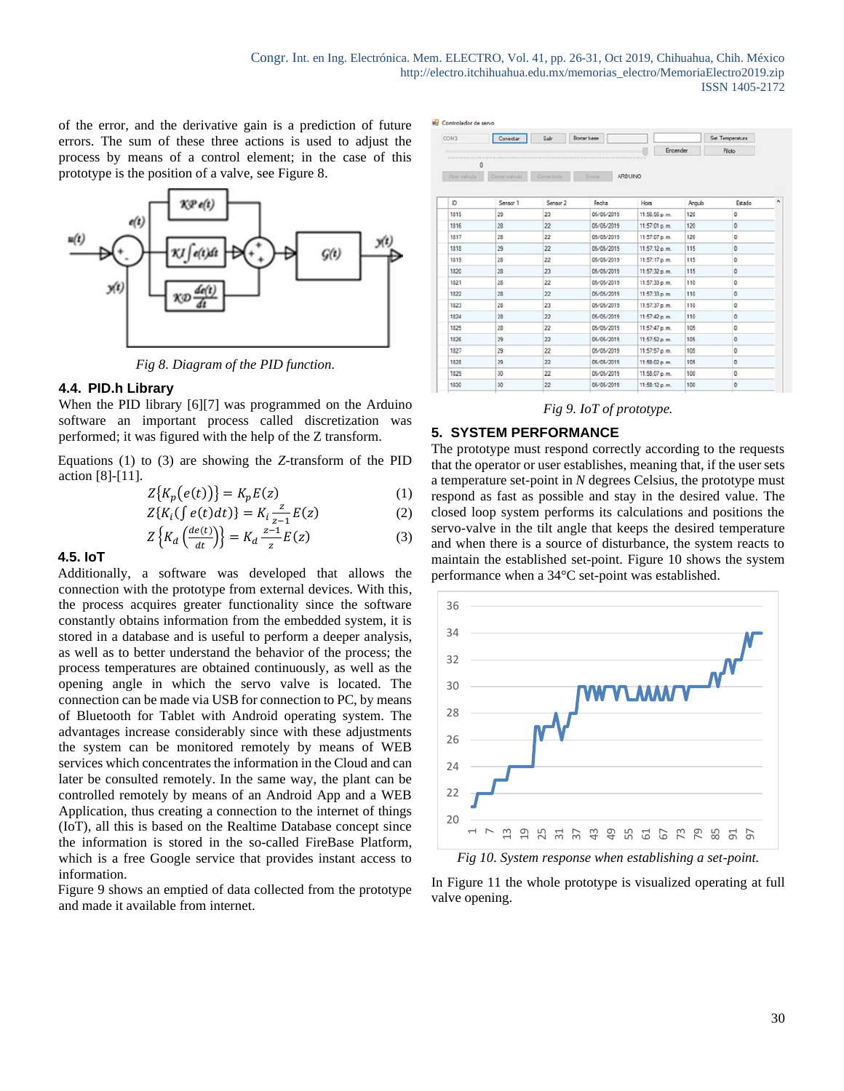of the error, and the derivative gain is a prediction of future errors. The sum of these three actions is used to adjust the process by means of a control element; in the case of this prototype is the position of a valve, see Figure 8.

![](_page_4_Figure_2.jpeg)

*Fig 8. Diagram of the PID function.*

#### **4.4. PID.h Library**

When the PID library [6][7] was programmed on the Arduino software an important process called discretization was performed; it was figured with the help of the Z transform.

Equations (1) to (3) are showing the *Z*-transform of the PID action [8]-[11].

$$
Z\{K_p(e(t))\} = K_p E(z)
$$
 (1)

$$
Z\{K_i(\int e(t)dt)\} = K_i \frac{z}{z-1} E(z)
$$
 (2)

$$
Z\left\{K_d\left(\frac{de(t)}{dt}\right)\right\} = K_d \frac{z-1}{z} E(z)
$$
 (3)

#### **4.5. IoT**

Additionally, a software was developed that allows the connection with the prototype from external devices. With this, the process acquires greater functionality since the software constantly obtains information from the embedded system, it is stored in a database and is useful to perform a deeper analysis, as well as to better understand the behavior of the process; the process temperatures are obtained continuously, as well as the opening angle in which the servo valve is located. The connection can be made via USB for connection to PC, by means of Bluetooth for Tablet with Android operating system. The advantages increase considerably since with these adjustments the system can be monitored remotely by means of WEB services which concentrates the information in the Cloud and can later be consulted remotely. In the same way, the plant can be controlled remotely by means of an Android App and a WEB Application, thus creating a connection to the internet of things (IoT), all this is based on the Realtime Database concept since the information is stored in the so-called FireBase Platform, which is a free Google service that provides instant access to information.

Figure 9 shows an emptied of data collected from the prototype and made it available from internet.

| COM3       | Conectar     | Sair        | Borrar base   |                |        | Set Temperatura |
|------------|--------------|-------------|---------------|----------------|--------|-----------------|
|            |              |             |               | Encender       |        | Picto           |
| 0          |              |             |               |                |        |                 |
| Abrevatoda | Ceremonius : | Certaintodo | <b>Erivar</b> | <b>ARDUINO</b> |        |                 |
|            |              |             |               |                |        |                 |
| ID-        | Sensor 1     | Sensor 2    | Fecha         | Hora           | Angulo | Estado          |
| 1815       | 29           | 23          | 05/05/2019    | 11:56:56 p.m.  | 120    | ٥               |
| 1816       | 28           | 22          | 05/05/2019    | 11:57:01 p.m.  | 120    | $\circ$         |
| 1817       | 2B           | 22          | 05/05/2019    | 11:57:07 p.m.  | 120    | ٥               |
| 1818       | 29           | 22          | 05/05/2019    | 11.57.12 p.m.  | 115    | $\circ$         |
| 1819       | 28           | 22          | 05/05/2019    | 11:57:17 p.m.  | 115    | $\circ$         |
| 1820       | 28           | 23          | 05/05/2019    | 11:57:32 p.m.  | 115    | ٥               |
| 1821       | 28           | 22          | 05/05/2019    | 11:57:33 p.m.  | 110    | ٥               |
| 1822       | 28           | 22          | 05/05/2019    | 11:57:33 p.m.  | 110    | ٥               |
| 1823       | 28           | 23          | 05/05/2019    | 11:57:37 p.m.  | 110    | 0               |
| 1824       | 28           | 22          | 05/05/2019    | 11:57:42 p.m.  | 110    | 0               |
| 1825       | 28           | 22          | 05/05/2019    | 11:57:47 p.m.  | 105    | $\circ$         |
| 1826       | 29           | 22          | 05/05/2019    | 11:57:52 p.m.  | 105    | ٥               |
| 1827       | 29           | 22          | 05/05/2019    | 11:57:57 p.m.  | 105    | 0               |
| 1828       | 29           | 22          | 05/05/2019    | 11:58:02 p.m.  | 105    | ٥               |
| 1829       | 30           | 22          | 05/05/2019    | 11:58:07 p.m.  | 100    | o               |
| 1830       | 30           | 22          | 05/05/2019    | 11:58:12 p.m.  | 100    | $\circ$         |

*Fig 9. IoT of prototype.*

## **5. SYSTEM PERFORMANCE**

The prototype must respond correctly according to the requests that the operator or user establishes, meaning that, if the user sets a temperature set-point in *N* degrees Celsius, the prototype must respond as fast as possible and stay in the desired value. The closed loop system performs its calculations and positions the servo-valve in the tilt angle that keeps the desired temperature and when there is a source of disturbance, the system reacts to maintain the established set-point. Figure 10 shows the system performance when a 34°C set-point was established.

![](_page_4_Figure_17.jpeg)

*Fig 10. System response when establishing a set-point.*

In Figure 11 the whole prototype is visualized operating at full valve opening.